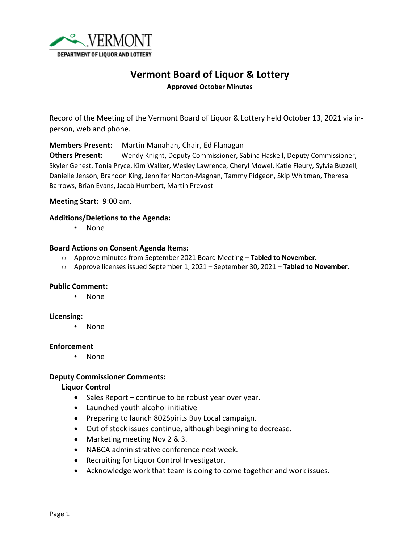

# **Vermont Board of Liquor & Lottery**

**Approved October Minutes**

Record of the Meeting of the Vermont Board of Liquor & Lottery held October 13, 2021 via inperson, web and phone.

**Members Present:** Martin Manahan, Chair, Ed Flanagan **Others Present:** Wendy Knight, Deputy Commissioner, Sabina Haskell, Deputy Commissioner, Skyler Genest, Tonia Pryce, Kim Walker, Wesley Lawrence, Cheryl Mowel, Katie Fleury, Sylvia Buzzell, Danielle Jenson, Brandon King, Jennifer Norton-Magnan, Tammy Pidgeon, Skip Whitman, Theresa Barrows, Brian Evans, Jacob Humbert, Martin Prevost

### **Meeting Start:** 9:00 am.

#### **Additions/Deletions to the Agenda:**

• None

#### **Board Actions on Consent Agenda Items:**

- o Approve minutes from September 2021 Board Meeting **Tabled to November.**
- o Approve licenses issued September 1, 2021 September 30, 2021 **Tabled to November**.

#### **Public Comment:**

• None

#### **Licensing:**

• None

#### **Enforcement**

• None

#### **Deputy Commissioner Comments:**

#### **Liquor Control**

- Sales Report continue to be robust year over year.
- Launched youth alcohol initiative
- Preparing to launch 802Spirits Buy Local campaign.
- Out of stock issues continue, although beginning to decrease.
- Marketing meeting Nov 2 & 3.
- NABCA administrative conference next week.
- Recruiting for Liquor Control Investigator.
- Acknowledge work that team is doing to come together and work issues.